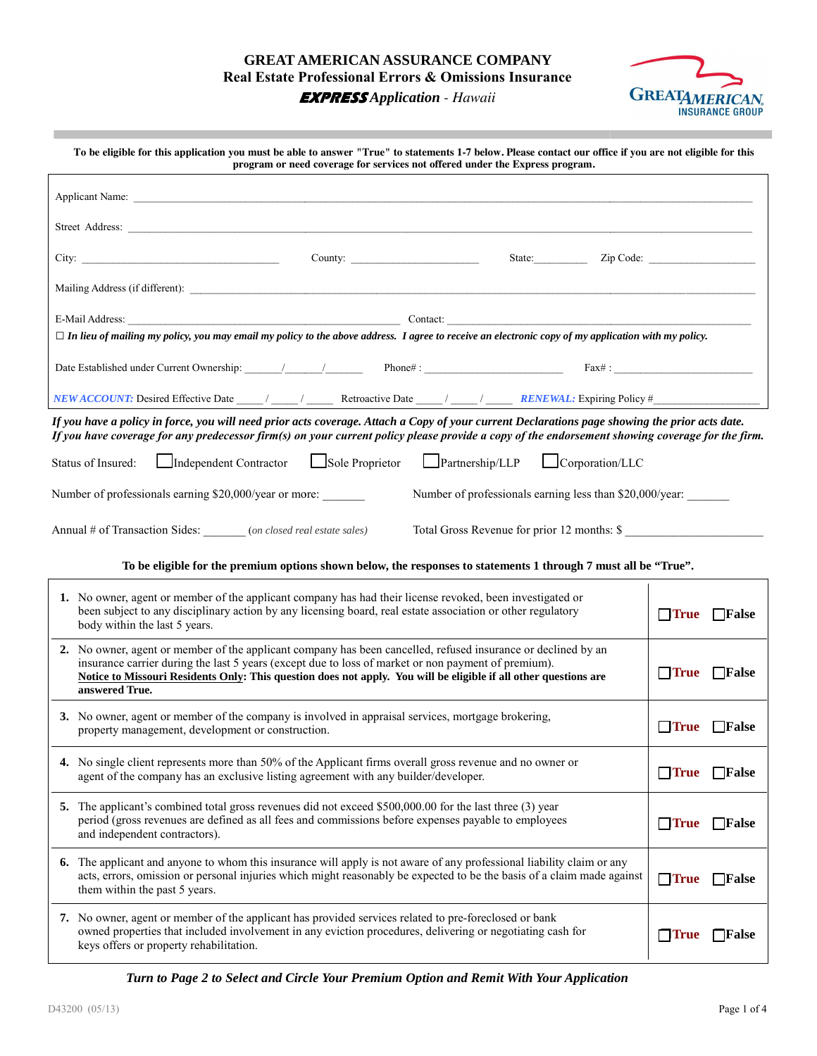# **GREAT AMERICAN AS GREAT AMERICAN ASSURANCE COMPANY Real Estate Professional Errors & Omissions Insurance**



**EXPRESS** *Application - Hawaii*

| To be eligible for this application you must be able to answer "True" to statements 1-7 below. Please contact our office if you are not eligible for this<br>program or need coverage for services not offered under the Express program.                                                                                                                  |                |                          |  |  |  |
|------------------------------------------------------------------------------------------------------------------------------------------------------------------------------------------------------------------------------------------------------------------------------------------------------------------------------------------------------------|----------------|--------------------------|--|--|--|
|                                                                                                                                                                                                                                                                                                                                                            |                |                          |  |  |  |
|                                                                                                                                                                                                                                                                                                                                                            |                |                          |  |  |  |
| County: $\qquad \qquad$<br>State: <u>Zip Code:</u>                                                                                                                                                                                                                                                                                                         |                |                          |  |  |  |
|                                                                                                                                                                                                                                                                                                                                                            |                |                          |  |  |  |
|                                                                                                                                                                                                                                                                                                                                                            |                |                          |  |  |  |
| $\Box$ In lieu of mailing my policy, you may email my policy to the above address. I agree to receive an electronic copy of my application with my policy.                                                                                                                                                                                                 |                |                          |  |  |  |
|                                                                                                                                                                                                                                                                                                                                                            |                |                          |  |  |  |
|                                                                                                                                                                                                                                                                                                                                                            |                |                          |  |  |  |
| If you have a policy in force, you will need prior acts coverage. Attach a Copy of your current Declarations page showing the prior acts date.<br>If you have coverage for any predecessor firm(s) on your current policy please provide a copy of the endorsement showing coverage for the firm.                                                          |                |                          |  |  |  |
| Independent Contractor Usole Proprietor Partnership/LLP UCorporation/LLC<br>Status of Insured:                                                                                                                                                                                                                                                             |                |                          |  |  |  |
| Number of professionals earning \$20,000/year or more:<br>Number of professionals earning less than \$20,000/year:                                                                                                                                                                                                                                         |                |                          |  |  |  |
| Total Gross Revenue for prior 12 months: \$<br>Annual # of Transaction Sides: _______ (on closed real estate sales)                                                                                                                                                                                                                                        |                |                          |  |  |  |
|                                                                                                                                                                                                                                                                                                                                                            |                |                          |  |  |  |
| To be eligible for the premium options shown below, the responses to statements 1 through 7 must all be "True".                                                                                                                                                                                                                                            |                |                          |  |  |  |
| 1. No owner, agent or member of the applicant company has had their license revoked, been investigated or<br>been subject to any disciplinary action by any licensing board, real estate association or other regulatory<br>body within the last 5 years.                                                                                                  | $\square$ True | $\Box$ False             |  |  |  |
| 2. No owner, agent or member of the applicant company has been cancelled, refused insurance or declined by an<br>insurance carrier during the last 5 years (except due to loss of market or non payment of premium).<br>Notice to Missouri Residents Only: This question does not apply. You will be eligible if all other questions are<br>answered True. | $\Box$ True    | $\Box$ False             |  |  |  |
| 3. No owner, agent or member of the company is involved in appraisal services, mortgage brokering,<br>property management, development or construction.                                                                                                                                                                                                    |                | $\Box$ True $\Box$ False |  |  |  |
| 4. No single client represents more than 50% of the Applicant firms overall gross revenue and no owner or<br>agent of the company has an exclusive listing agreement with any builder/developer.                                                                                                                                                           | $\Box$ True    | $\Box$ False             |  |  |  |
| 5. The applicant's combined total gross revenues did not exceed \$500,000.00 for the last three (3) year<br>period (gross revenues are defined as all fees and commissions before expenses payable to employees<br>and independent contractors).                                                                                                           | $\Box$ True    | $\Box$ False             |  |  |  |
| The applicant and anyone to whom this insurance will apply is not aware of any professional liability claim or any<br>6.<br>acts, errors, omission or personal injuries which might reasonably be expected to be the basis of a claim made against<br>them within the past 5 years.                                                                        | $\Box$ True    | $\Box$ False             |  |  |  |
| 7. No owner, agent or member of the applicant has provided services related to pre-foreclosed or bank<br>owned properties that included involvement in any eviction procedures, delivering or negotiating cash for<br>keys offers or property rehabilitation.                                                                                              | $\square$ True | $\Box$ False             |  |  |  |
| Turn to Page 2 to Select and Circle Your Premium Option and Remit With Your Application                                                                                                                                                                                                                                                                    |                |                          |  |  |  |

*Turn to Page 2 to Select and Circle Your Premium rcle Your Option and Remit With Your Application*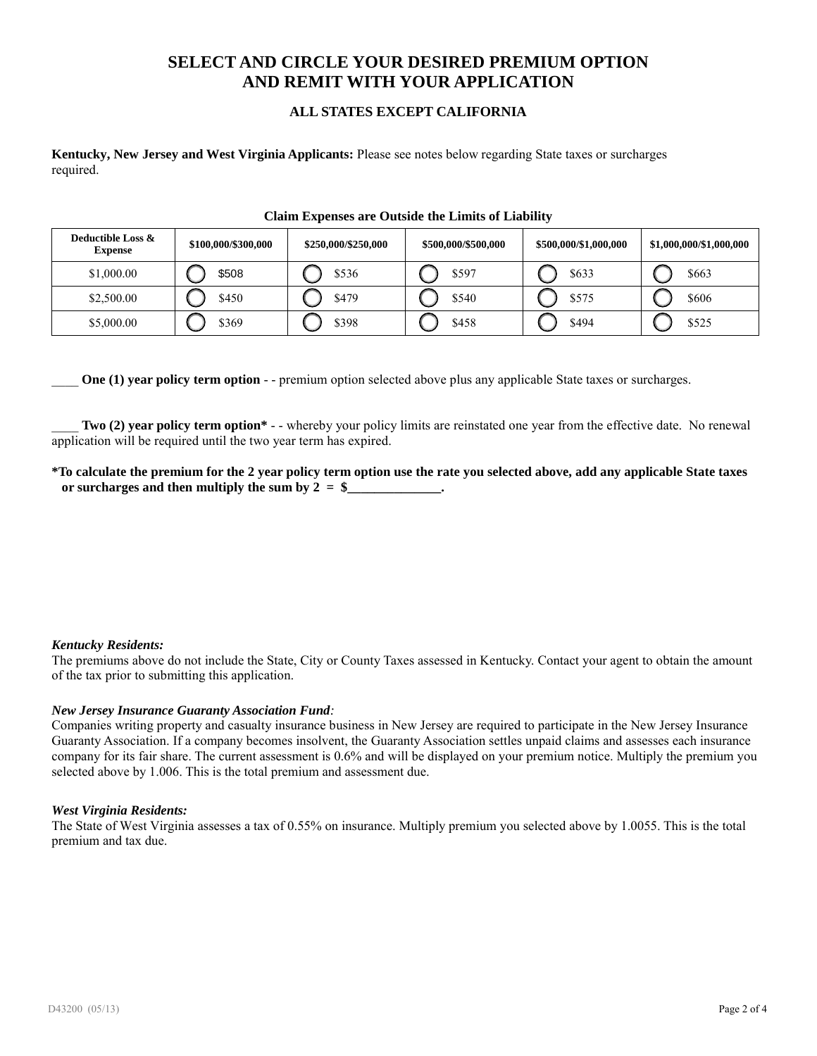# **SELECT AND CIRCLE YOUR DESIRED PREMIUM OPTION AND REMIT WITH YOUR APPLICATION**

## **ALL STATES EXCEPT CALIFORNIA**

**Kentucky, New Jersey and West Virginia Applicants:** Please see notes below regarding State taxes or surcharges required.

#### **Claim Expenses are Outside the Limits of Liability**

| Deductible Loss &<br><b>Expense</b> | \$100,000/\$300,000 | \$250,000/\$250,000 | \$500,000/\$500,000 | \$500,000/\$1,000,000 | \$1,000,000/\$1,000,000 |
|-------------------------------------|---------------------|---------------------|---------------------|-----------------------|-------------------------|
| \$1,000.00                          | \$508               | \$536               | \$597               | \$633                 | \$663                   |
| \$2,500.00                          | \$450               | \$479               | \$540               | \$575                 | \$606                   |
| \$5,000.00                          | \$369               | \$398               | \$458               | \$494                 | \$525                   |

**One (1) year policy term option** - - premium option selected above plus any applicable State taxes or surcharges.

Two (2) year policy term option\* - - whereby your policy limits are reinstated one year from the effective date. No renewal application will be required until the two year term has expired.

**\*To calculate the premium for the 2 year policy term option use the rate you selected above, add any applicable State taxes** or surcharges and then multiply the sum by  $2 = $$ 

## *Kentucky Residents:*

The premiums above do not include the State, City or County Taxes assessed in Kentucky. Contact your agent to obtain the amount of the tax prior to submitting this application.

## *New Jersey Insurance Guaranty Association Fund:*

Companies writing property and casualty insurance business in New Jersey are required to participate in the New Jersey Insurance Guaranty Association. If a company becomes insolvent, the Guaranty Association settles unpaid claims and assesses each insurance company for its fair share. The current assessment is 0.6% and will be displayed on your premium notice. Multiply the premium you selected above by 1.006. This is the total premium and assessment due.

#### *West Virginia Residents:*

The State of West Virginia assesses a tax of 0.55% on insurance. Multiply premium you selected above by 1.0055. This is the total premium and tax due.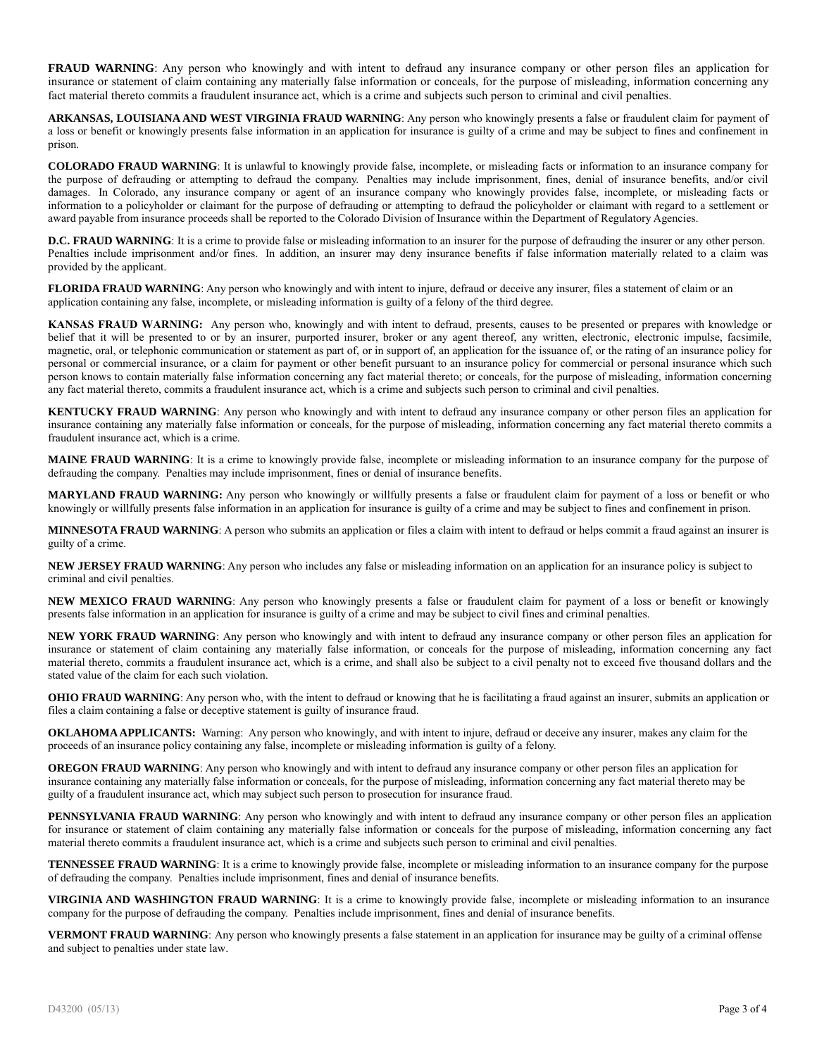**FRAUD WARNING**: Any person who knowingly and with intent to defraud any insurance company or other person files an application for insurance or statement of claim containing any materially false information or conceals, for the purpose of misleading, information concerning any fact material thereto commits a fraudulent insurance act, which is a crime and subjects such person to criminal and civil penalties.

**ARKANSAS, LOUISIANA AND WEST VIRGINIA FRAUD WARNING**: Any person who knowingly presents a false or fraudulent claim for payment of a loss or benefit or knowingly presents false information in an application for insurance is guilty of a crime and may be subject to fines and confinement in prison.

**COLORADO FRAUD WARNING**: It is unlawful to knowingly provide false, incomplete, or misleading facts or information to an insurance company for the purpose of defrauding or attempting to defraud the company. Penalties may include imprisonment, fines, denial of insurance benefits, and/or civil damages. In Colorado, any insurance company or agent of an insurance company who knowingly provides false, incomplete, or misleading facts or information to a policyholder or claimant for the purpose of defrauding or attempting to defraud the policyholder or claimant with regard to a settlement or award payable from insurance proceeds shall be reported to the Colorado Division of Insurance within the Department of Regulatory Agencies.

**D.C. FRAUD WARNING**: It is a crime to provide false or misleading information to an insurer for the purpose of defrauding the insurer or any other person. Penalties include imprisonment and/or fines. In addition, an insurer may deny insurance benefits if false information materially related to a claim was provided by the applicant.

**FLORIDA FRAUD WARNING**: Any person who knowingly and with intent to injure, defraud or deceive any insurer, files a statement of claim or an application containing any false, incomplete, or misleading information is guilty of a felony of the third degree*.*

**KANSAS FRAUD WARNING:** Any person who, knowingly and with intent to defraud, presents, causes to be presented or prepares with knowledge or belief that it will be presented to or by an insurer, purported insurer, broker or any agent thereof, any written, electronic, electronic impulse, facsimile, magnetic, oral, or telephonic communication or statement as part of, or in support of, an application for the issuance of, or the rating of an insurance policy for personal or commercial insurance, or a claim for payment or other benefit pursuant to an insurance policy for commercial or personal insurance which such person knows to contain materially false information concerning any fact material thereto; or conceals, for the purpose of misleading, information concerning any fact material thereto, commits a fraudulent insurance act, which is a crime and subjects such person to criminal and civil penalties.

**KENTUCKY FRAUD WARNING**: Any person who knowingly and with intent to defraud any insurance company or other person files an application for insurance containing any materially false information or conceals, for the purpose of misleading, information concerning any fact material thereto commits a fraudulent insurance act, which is a crime.

**MAINE FRAUD WARNING**: It is a crime to knowingly provide false, incomplete or misleading information to an insurance company for the purpose of defrauding the company. Penalties may include imprisonment, fines or denial of insurance benefits.

**MARYLAND FRAUD WARNING:** Any person who knowingly or willfully presents a false or fraudulent claim for payment of a loss or benefit or who knowingly or willfully presents false information in an application for insurance is guilty of a crime and may be subject to fines and confinement in prison.

**MINNESOTA FRAUD WARNING**: A person who submits an application or files a claim with intent to defraud or helps commit a fraud against an insurer is guilty of a crime.

**NEW JERSEY FRAUD WARNING**: Any person who includes any false or misleading information on an application for an insurance policy is subject to criminal and civil penalties.

**NEW MEXICO FRAUD WARNING**: Any person who knowingly presents a false or fraudulent claim for payment of a loss or benefit or knowingly presents false information in an application for insurance is guilty of a crime and may be subject to civil fines and criminal penalties.

**NEW YORK FRAUD WARNING**: Any person who knowingly and with intent to defraud any insurance company or other person files an application for insurance or statement of claim containing any materially false information, or conceals for the purpose of misleading, information concerning any fact material thereto, commits a fraudulent insurance act, which is a crime, and shall also be subject to a civil penalty not to exceed five thousand dollars and the stated value of the claim for each such violation.

**OHIO FRAUD WARNING**: Any person who, with the intent to defraud or knowing that he is facilitating a fraud against an insurer, submits an application or files a claim containing a false or deceptive statement is guilty of insurance fraud.

**OKLAHOMA APPLICANTS:** Warning: Any person who knowingly, and with intent to injure, defraud or deceive any insurer, makes any claim for the proceeds of an insurance policy containing any false, incomplete or misleading information is guilty of a felony.

**OREGON FRAUD WARNING**: Any person who knowingly and with intent to defraud any insurance company or other person files an application for insurance containing any materially false information or conceals, for the purpose of misleading, information concerning any fact material thereto may be guilty of a fraudulent insurance act, which may subject such person to prosecution for insurance fraud.

**PENNSYLVANIA FRAUD WARNING**: Any person who knowingly and with intent to defraud any insurance company or other person files an application for insurance or statement of claim containing any materially false information or conceals for the purpose of misleading, information concerning any fact material thereto commits a fraudulent insurance act, which is a crime and subjects such person to criminal and civil penalties.

**TENNESSEE FRAUD WARNING**: It is a crime to knowingly provide false, incomplete or misleading information to an insurance company for the purpose of defrauding the company. Penalties include imprisonment, fines and denial of insurance benefits.

**VIRGINIA AND WASHINGTON FRAUD WARNING**: It is a crime to knowingly provide false, incomplete or misleading information to an insurance company for the purpose of defrauding the company. Penalties include imprisonment, fines and denial of insurance benefits.

**VERMONT FRAUD WARNING**: Any person who knowingly presents a false statement in an application for insurance may be guilty of a criminal offense and subject to penalties under state law.